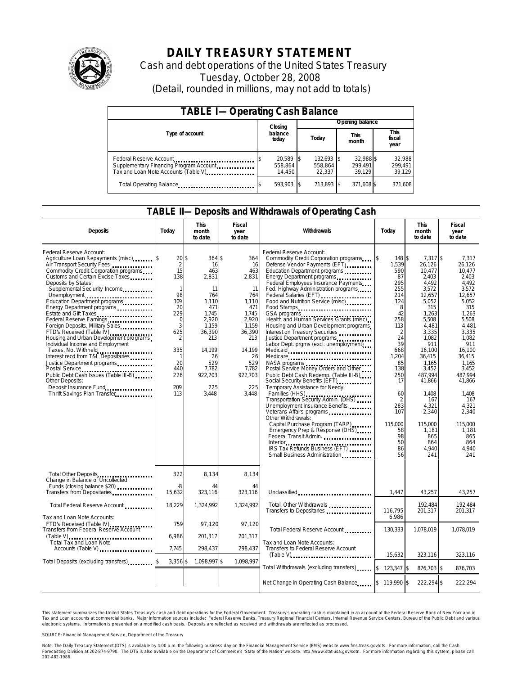

# **DAILY TREASURY STATEMENT**

Cash and debt operations of the United States Treasury Tuesday, October 28, 2008 (Detail, rounded in millions, may not add to totals)

| <b>TABLE I-Operating Cash Balance</b>                                                                      |                                |                                 |                                |                             |  |  |  |  |
|------------------------------------------------------------------------------------------------------------|--------------------------------|---------------------------------|--------------------------------|-----------------------------|--|--|--|--|
|                                                                                                            | Closing                        | Opening balance                 |                                |                             |  |  |  |  |
| Type of account                                                                                            | balance<br>today               | Today                           | This<br>month                  |                             |  |  |  |  |
| Federal Reserve Account<br>Supplementary Financing Program Account<br>Tax and Loan Note Accounts (Table V) | 20,589 \$<br>558.864<br>14.450 | 132,693 \$<br>558.864<br>22.337 | 32.988 \$<br>299.491<br>39.129 | 32,988<br>299,491<br>39,129 |  |  |  |  |
| Total Operating Balance                                                                                    | 593.903 \$                     | 713.893 \$                      | 371,608 \$                     | 371,608                     |  |  |  |  |

## **TABLE II—Deposits and Withdrawals of Operating Cash**

| <b>Deposits</b>                                                                                                                                                                                                                                                                                                                                                                                                                                                                                                                                                                                                                                                 | Today                                                                                                                                                 | <b>This</b><br>month<br>to date                                                                                                                                  | Fiscal<br>year<br>to date                                                                                                                                     | Withdrawals                                                                                                                                                                                                                                                                                                                                                                                                                                                                                                                                                                                                                                                                                                                                                                                                                                                                                                                                                                                                                                                         | Today                                                                                                                                                                                                          | <b>This</b><br>month<br>to date                                                                                                                                                                                                                                                      | Fiscal<br>year<br>to date                                                                                                                                                                                                                                                         |
|-----------------------------------------------------------------------------------------------------------------------------------------------------------------------------------------------------------------------------------------------------------------------------------------------------------------------------------------------------------------------------------------------------------------------------------------------------------------------------------------------------------------------------------------------------------------------------------------------------------------------------------------------------------------|-------------------------------------------------------------------------------------------------------------------------------------------------------|------------------------------------------------------------------------------------------------------------------------------------------------------------------|---------------------------------------------------------------------------------------------------------------------------------------------------------------|---------------------------------------------------------------------------------------------------------------------------------------------------------------------------------------------------------------------------------------------------------------------------------------------------------------------------------------------------------------------------------------------------------------------------------------------------------------------------------------------------------------------------------------------------------------------------------------------------------------------------------------------------------------------------------------------------------------------------------------------------------------------------------------------------------------------------------------------------------------------------------------------------------------------------------------------------------------------------------------------------------------------------------------------------------------------|----------------------------------------------------------------------------------------------------------------------------------------------------------------------------------------------------------------|--------------------------------------------------------------------------------------------------------------------------------------------------------------------------------------------------------------------------------------------------------------------------------------|-----------------------------------------------------------------------------------------------------------------------------------------------------------------------------------------------------------------------------------------------------------------------------------|
| Federal Reserve Account:<br>Agriculture Loan Repayments (misc)<br>Air Transport Security Fees<br>Commodity Credit Corporation programs<br>Customs and Certain Excise Taxes<br>Deposits by States:<br>Supplemental Sec urity Income<br>Unemployment<br>Education Department programs<br>Energy Department programs<br>Estate and Gift Taxes<br>Federal Reserve Earnings<br>Foreign Deposits, Military Sales<br>FTD's Received (Table IV)<br>Housing and Urban Development programs<br>Individual Income and Employment<br>Taxes, Not Withheld<br>Interest recd from T&L Depositaries<br>Justice Department programs<br>Other Deposits:<br>Deposit Insurance Fund | $20$ \$<br>$\overline{2}$<br>15<br>138<br>$\mathbf{1}$<br>98<br>109<br>20<br>229<br>0<br>3<br>625<br>2<br>335<br>-1<br>20<br>440<br>226<br>209<br>113 | 364 \$<br>16<br>463<br>2,831<br>11<br>764<br>1,110<br>471<br>1.745<br>2,920<br>1,159<br>36.390<br>213<br>14.199<br>26<br>529<br>7,782<br>922,703<br>225<br>3,448 | 364<br>16<br>463<br>2,831<br>11<br>764<br>1,110<br>471<br>1,745<br>2.920<br>1,159<br>36.390<br>213<br>14.199<br>26<br>529<br>7,782<br>922,703<br>225<br>3,448 | Federal Reserve Account:<br>Commodity Credit Corporation programs<br>Defense Vendor Payments (EFT)<br>Education Department programs<br>Energy Department programs<br>Federal Employees Insurance Payments<br>Fed. Highway Administration programs<br>Federal Salaries (EFT)<br>Food and Nutrition Service (misc)<br>Food Stamps<br>GSA programs<br>Health and Human Services Grants (misc)<br>Housing and Urban Development programs<br>Interest on Treasury Securities<br>Justice Department programs<br>Labor Dept. prgms (excl. unemployment)<br>Medicaid<br>Medicare<br>NASA programs<br>Postal Service Money Orders and Other<br>Public Debt Cash Redemp. (Table III-B)<br>Social Security Benefits (EFT)<br>Temporary Assistance for Needy<br>Families (HHS)<br>Transportation Security Admin. (DHS)<br>Unemployment Insurance Benefits<br>Veterans Affairs programs<br>Other Withdrawals:<br>Capital Purchase Program (TARP)<br>Emergency Prep & Response (DHS)<br>Federal Transit Admin.<br>IRS Tax Refunds Business (EFT)<br>Small Business Administration | 148 \$<br>1,539<br>590<br>87<br>295<br>255<br>214<br>124<br>8<br>42<br>258<br>113<br>2<br>24<br>39<br>668<br>1,204<br>85<br>138<br>250<br>17<br>60<br>2<br>283<br>107<br>115.000<br>58<br>98<br>50<br>86<br>56 | 7,317 \$<br>26,126<br>10.477<br>2,403<br>4.492<br>3,572<br>12.657<br>5,052<br>315<br>1,263<br>5,508<br>4,481<br>3.335<br>1,082<br>911<br>16,100<br>36.415<br>1,165<br>3,452<br>487.994<br>41,866<br>1,408<br>167<br>4,321<br>2,340<br>115.000<br>1,181<br>865<br>864<br>4.940<br>241 | 7.317<br>26,126<br>10.477<br>2,403<br>4.492<br>3,572<br>12.657<br>5,052<br>315<br>1.263<br>5,508<br>4,481<br>3.335<br>1,082<br>911<br>16,100<br>36.415<br>1.165<br>3,452<br>487.994<br>41,866<br>1.408<br>167<br>4,321<br>2,340<br>115,000<br>1,181<br>865<br>864<br>4.940<br>241 |
| Total Other Deposits<br>Change in Balance of Uncollected<br>Funds (closing balance \$20)                                                                                                                                                                                                                                                                                                                                                                                                                                                                                                                                                                        | 322<br>$-8$                                                                                                                                           | 8.134<br>44                                                                                                                                                      | 8.134<br>44                                                                                                                                                   |                                                                                                                                                                                                                                                                                                                                                                                                                                                                                                                                                                                                                                                                                                                                                                                                                                                                                                                                                                                                                                                                     |                                                                                                                                                                                                                |                                                                                                                                                                                                                                                                                      |                                                                                                                                                                                                                                                                                   |
| Transfers from Depositaries                                                                                                                                                                                                                                                                                                                                                                                                                                                                                                                                                                                                                                     | 15,632                                                                                                                                                | 323,116                                                                                                                                                          | 323,116                                                                                                                                                       | Unclassified                                                                                                                                                                                                                                                                                                                                                                                                                                                                                                                                                                                                                                                                                                                                                                                                                                                                                                                                                                                                                                                        | 1.447                                                                                                                                                                                                          | 43.257                                                                                                                                                                                                                                                                               | 43,257                                                                                                                                                                                                                                                                            |
| Total Federal Reserve Account                                                                                                                                                                                                                                                                                                                                                                                                                                                                                                                                                                                                                                   | 18,229                                                                                                                                                | 1,324,992                                                                                                                                                        | 1,324,992                                                                                                                                                     | Total, Other Withdrawals<br>Transfers to Depositaries                                                                                                                                                                                                                                                                                                                                                                                                                                                                                                                                                                                                                                                                                                                                                                                                                                                                                                                                                                                                               | 116,795                                                                                                                                                                                                        | 192.484<br>201,317                                                                                                                                                                                                                                                                   | 192.484<br>201,317                                                                                                                                                                                                                                                                |
| Tax and Loan Note Accounts:<br>FTD's Received (Table IV)<br>Transfers from Federal Reserve Account<br>Total Tax and Loan Note                                                                                                                                                                                                                                                                                                                                                                                                                                                                                                                                   | 759<br>6,986                                                                                                                                          | 97,120<br>201,317                                                                                                                                                | 97,120<br>201,317                                                                                                                                             | Total Federal Reserve Account<br>Tax and Loan Note Accounts:                                                                                                                                                                                                                                                                                                                                                                                                                                                                                                                                                                                                                                                                                                                                                                                                                                                                                                                                                                                                        | 6,986<br>130,333                                                                                                                                                                                               | 1.078.019                                                                                                                                                                                                                                                                            | 1.078.019                                                                                                                                                                                                                                                                         |
| Accounts (Table V)                                                                                                                                                                                                                                                                                                                                                                                                                                                                                                                                                                                                                                              | 7,745                                                                                                                                                 | 298,437                                                                                                                                                          | 298,437                                                                                                                                                       | Transfers to Federal Reserve Account<br>$(Table V)$                                                                                                                                                                                                                                                                                                                                                                                                                                                                                                                                                                                                                                                                                                                                                                                                                                                                                                                                                                                                                 | 15,632                                                                                                                                                                                                         | 323,116                                                                                                                                                                                                                                                                              | 323,116                                                                                                                                                                                                                                                                           |
| Total Deposits (excluding transfers) [1996]                                                                                                                                                                                                                                                                                                                                                                                                                                                                                                                                                                                                                     | $3,356$ \$                                                                                                                                            | 1,098,997 \$                                                                                                                                                     | 1,098,997                                                                                                                                                     | Total Withdrawals (excluding transfers) \$                                                                                                                                                                                                                                                                                                                                                                                                                                                                                                                                                                                                                                                                                                                                                                                                                                                                                                                                                                                                                          | 123,347 \$                                                                                                                                                                                                     | 876,703 \$                                                                                                                                                                                                                                                                           | 876,703                                                                                                                                                                                                                                                                           |
|                                                                                                                                                                                                                                                                                                                                                                                                                                                                                                                                                                                                                                                                 |                                                                                                                                                       |                                                                                                                                                                  |                                                                                                                                                               | Net Change in Operating Cash Balance \$ 119,990 \$                                                                                                                                                                                                                                                                                                                                                                                                                                                                                                                                                                                                                                                                                                                                                                                                                                                                                                                                                                                                                  |                                                                                                                                                                                                                | 222,294 \$                                                                                                                                                                                                                                                                           | 222,294                                                                                                                                                                                                                                                                           |

This statement summarizes the United States Treasury's cash and debt operations for the Federal Government. Treasury's operating cash is maintained in an account at the Federal Reserve Bank of New York and in Tax and Loan accounts at commercial banks. Major information sources include: Federal Reserve Banks, Treasury Regional Financial Centers, Internal Revenue Service Centers, Bureau of the Public Debt and various electronic systems. Information is presented on a modified cash basis. Deposits are reflected as received and withdrawals are reflected as processed.

SOURCE: Financial Management Service, Department of the Treasury

Note: The Daily Treasury Statement (DTS) is available by 4:00 p.m. the following business day on the Financial Management Service (FMS) website www.fms.treas.gov/dts. For more information, call the Cash Forecasting Division at 202-874-9790. The DTS is also available on the Department of Commerce's "State of the Nation" website: http://www.stat-usa.gov/sotn. For more information regarding this system, please call<br>202-482-1